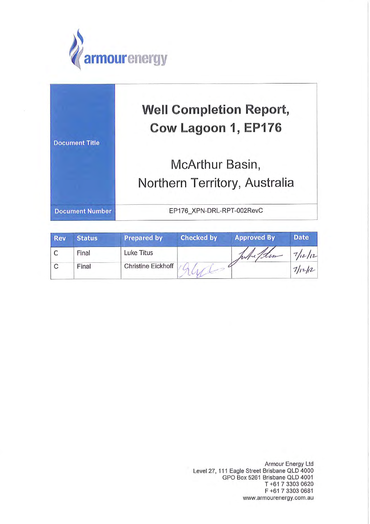

| <b>Document Title</b>  | <b>Well Completion Report,</b><br>Cow Lagoon 1, EP176 |  |
|------------------------|-------------------------------------------------------|--|
|                        | McArthur Basin,                                       |  |
|                        | Northern Territory, Australia                         |  |
| <b>Document Number</b> | EP176 XPN-DRL-RPT-002RevC                             |  |

| <b>Rev</b> | <b>Status</b> | <b>Prepared by</b> | <b>Checked by</b> | <b>Approved By</b> | <b>Date</b> |
|------------|---------------|--------------------|-------------------|--------------------|-------------|
|            | Final         | Luke Titus         |                   | Whitehim           | 7/12/12     |
|            | Final         | Christine Eickhoff |                   |                    | 7/11/12     |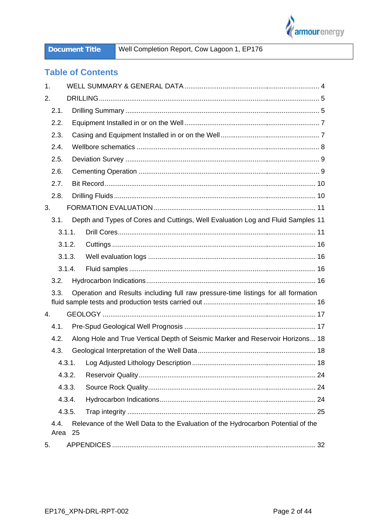

Well Completion Report, Cow Lagoon 1, EP176

## **Table of Contents**

| 1.           |        |                                                                                   |  |
|--------------|--------|-----------------------------------------------------------------------------------|--|
| 2.           |        |                                                                                   |  |
| 2.1.         |        |                                                                                   |  |
| 2.2.         |        |                                                                                   |  |
| 2.3.         |        |                                                                                   |  |
| 2.4.         |        |                                                                                   |  |
| 2.5.         |        |                                                                                   |  |
| 2.6.         |        |                                                                                   |  |
| 2.7.         |        |                                                                                   |  |
| 2.8.         |        |                                                                                   |  |
| 3.           |        |                                                                                   |  |
| 3.1.         |        | Depth and Types of Cores and Cuttings, Well Evaluation Log and Fluid Samples 11   |  |
|              | 3.1.1. |                                                                                   |  |
|              | 3.1.2. |                                                                                   |  |
|              | 3.1.3. |                                                                                   |  |
|              | 3.1.4. |                                                                                   |  |
| 3.2.         |        |                                                                                   |  |
| 3.3.         |        | Operation and Results including full raw pressure-time listings for all formation |  |
|              |        |                                                                                   |  |
| 4.           |        |                                                                                   |  |
| 4.1.         |        |                                                                                   |  |
| 4.2.         |        | Along Hole and True Vertical Depth of Seismic Marker and Reservoir Horizons 18    |  |
| 4.3.         |        |                                                                                   |  |
|              | 4.3.1. |                                                                                   |  |
|              | 4.3.2. |                                                                                   |  |
|              | 4.3.3. |                                                                                   |  |
|              | 4.3.4. |                                                                                   |  |
|              | 4.3.5. |                                                                                   |  |
| 4.4.<br>Area | 25     | Relevance of the Well Data to the Evaluation of the Hydrocarbon Potential of the  |  |
| 5.           |        |                                                                                   |  |